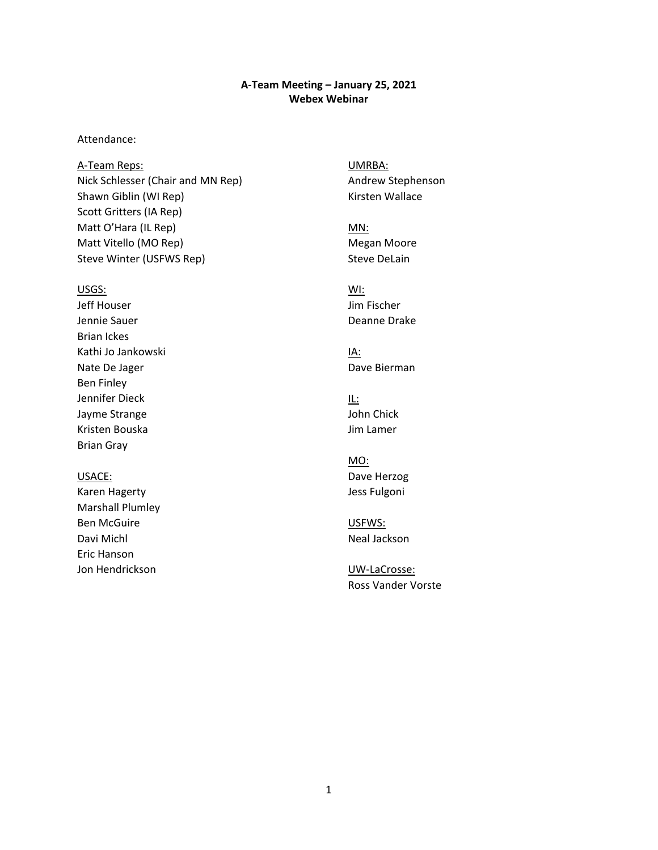### **A-Team Meeting – January 25, 2021 Webex Webinar**

### Attendance:

Matt O'Hara (IL Rep) MONE CONTROLLER METALLIC MONE CONTROLLER MONE MONE CONTROLLER METALLIC MONE CONTROLLER ME A-Team Reps: UMRBA: Nick Schlesser (Chair and MN Rep) Andrew Stephenson Shawn Giblin (WI Rep) Manus (Kirsten Wallace Scott Gritters (IA Rep) Matt Vitello (MO Rep) Matt Vitello (MO Rep) Steve Winter (USFWS Rep) Steve DeLain

#### USGS: WI:

Jeff Houser Jim Fischer Jennie Sauer Deanne Drake Brian Ickes Kathi Jo Jankowski Nathi IA: Nate De Jager **Dave Bierman** Ben Finley Jennifer Dieck IL: Jayme Strange **John Chick** Kristen Bouska Jim Lamer Brian Gray

Karen Hagerty **Galactic Community** Jess Fulgoni Marshall Plumley Ben McGuire **USFWS:** Davi Michl Neal Jackson Eric Hanson Jon Hendrickson UW-LaCrosse:

MO: USACE: USACE:

Ross Vander Vorste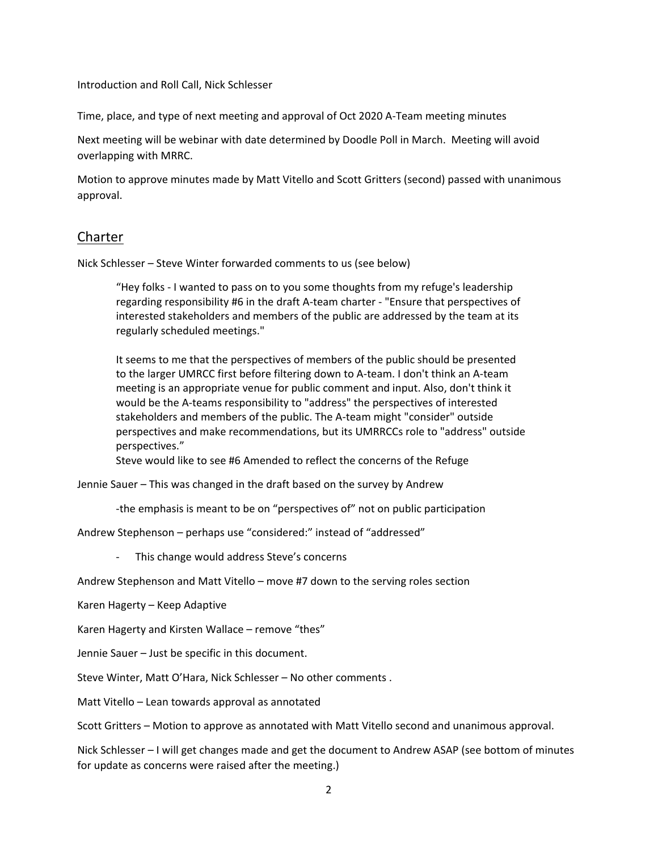Introduction and Roll Call, Nick Schlesser

Time, place, and type of next meeting and approval of Oct 2020 A-Team meeting minutes

Next meeting will be webinar with date determined by Doodle Poll in March. Meeting will avoid overlapping with MRRC.

 Motion to approve minutes made by Matt Vitello and Scott Gritters (second) passed with unanimous approval.

### Charter

Nick Schlesser – Steve Winter forwarded comments to us (see below)

 "Hey folks - I wanted to pass on to you some thoughts from my refuge's leadership regarding responsibility #6 in the draft A-team charter - "Ensure that perspectives of interested stakeholders and members of the public are addressed by the team at its regularly scheduled meetings."

 to the larger UMRCC first before filtering down to A-team. I don't think an A-team meeting is an appropriate venue for public comment and input. Also, don't think it It seems to me that the perspectives of members of the public should be presented would be the A-teams responsibility to "address" the perspectives of interested stakeholders and members of the public. The A-team might "consider" outside perspectives and make recommendations, but its UMRRCCs role to "address" outside perspectives."

Steve would like to see #6 Amended to reflect the concerns of the Refuge

Jennie Sauer – This was changed in the draft based on the survey by Andrew

-the emphasis is meant to be on "perspectives of" not on public participation

Andrew Stephenson – perhaps use "considered:" instead of "addressed"

- This change would address Steve's concerns

Andrew Stephenson and Matt Vitello – move #7 down to the serving roles section

Karen Hagerty – Keep Adaptive

Karen Hagerty and Kirsten Wallace – remove "thes"

Jennie Sauer – Just be specific in this document.

Steve Winter, Matt O'Hara, Nick Schlesser – No other comments .

Matt Vitello – Lean towards approval as annotated

Scott Gritters – Motion to approve as annotated with Matt Vitello second and unanimous approval.

 Nick Schlesser – I will get changes made and get the document to Andrew ASAP (see bottom of minutes for update as concerns were raised after the meeting.)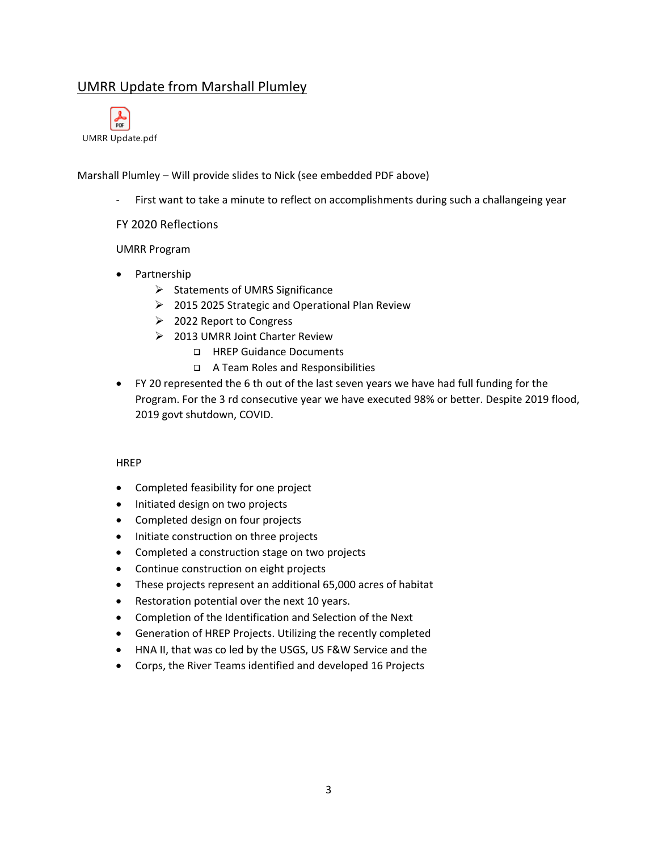## UMRR Update from Marshall Plumley



Marshall Plumley – Will provide slides to Nick (see embedded PDF above)

- First want to take a minute to reflect on accomplishments during such a challangeing year

### FY 2020 Reflections

### UMRR Program

- Partnership
	- $\triangleright$  Statements of UMRS Significance
	- 2015 2025 Strategic and Operational Plan Review
	- **2022 Report to Congress**
	- > 2013 UMRR Joint Charter Review
		- □ HREP Guidance Documents
		- A Team Roles and Responsibilities
- • FY 20 represented the 6 th out of the last seven years we have had full funding for the Program. For the 3 rd consecutive year we have executed 98% or better. Despite 2019 flood, 2019 govt shutdown, COVID.

### **HREP**

- Completed feasibility for one project
- Initiated design on two projects
- Completed design on four projects
- Initiate construction on three projects
- Completed a construction stage on two projects
- Continue construction on eight projects
- These projects represent an additional 65,000 acres of habitat
- Restoration potential over the next 10 years.
- Completion of the Identification and Selection of the Next
- Generation of HREP Projects. Utilizing the recently completed
- HNA II, that was co led by the USGS, US F&W Service and the
- Corps, the River Teams identified and developed 16 Projects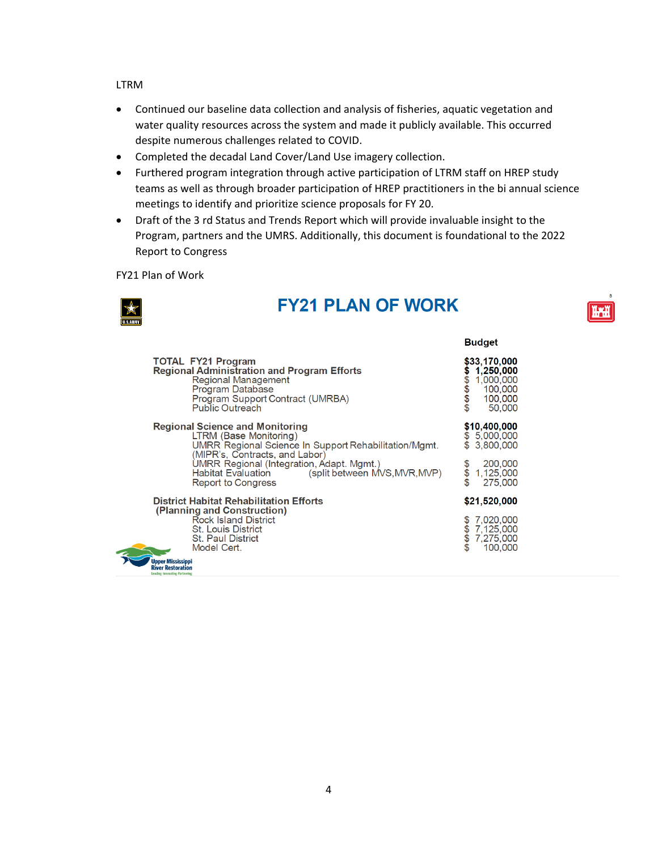LTRM

- Continued our baseline data collection and analysis of fisheries, aquatic vegetation and water quality resources across the system and made it publicly available. This occurred despite numerous challenges related to COVID.
- Completed the decadal Land Cover/Land Use imagery collection.
- Furthered program integration through active participation of LTRM staff on HREP study teams as well as through broader participation of HREP practitioners in the bi annual science meetings to identify and prioritize science proposals for FY 20.
- Draft of the 3 rd Status and Trends Report which will provide invaluable insight to the Program, partners and the UMRS. Additionally, this document is foundational to the 2022 Report to Congress

FY21 Plan of Work



# **FY21 PLAN OF WORK**

|                                                                                                                                                                                          | <b>Budget</b>                                                                             |
|------------------------------------------------------------------------------------------------------------------------------------------------------------------------------------------|-------------------------------------------------------------------------------------------|
| <b>TOTAL FY21 Program</b><br><b>Regional Administration and Program Efforts</b><br>Regional Management<br>Program Database<br>Program Support Contract (UMRBA)<br><b>Public Outreach</b> | \$33,170,000<br>1,250,000<br><del>₩₩₩₩</del><br>1,000,000<br>100,000<br>100,000<br>50,000 |
| <b>Regional Science and Monitoring</b><br>LTRM (Base Monitoring)<br>UMRR Regional Science In Support Rehabilitation/Mgmt.<br>(MIPR's, Contracts, and Labor)                              | \$10,400,000<br>\$5,000,000<br>\$ 3.800,000                                               |
| UMRR Regional (Integration, Adapt. Mgmt.)<br><b>Habitat Evaluation</b><br>(split between MVS, MVR, MVP)<br><b>Report to Congress</b>                                                     | 200,000<br>$\breve{\$}$<br>1,125,000<br>275,000                                           |
| District Habitat Rehabilitation Efforts<br>(Planning and Construction)                                                                                                                   | \$21,520,000                                                                              |
| <b>Rock Island District</b><br>St. Louis District<br>St. Paul District<br>Model Cert.                                                                                                    | 7.020.000<br>7.125,000<br>\$<br>7,275,000<br>100,000                                      |
| <b>Upper Mississippi</b><br><b>River Restoration</b><br>Leading-Innovating-Partnering                                                                                                    |                                                                                           |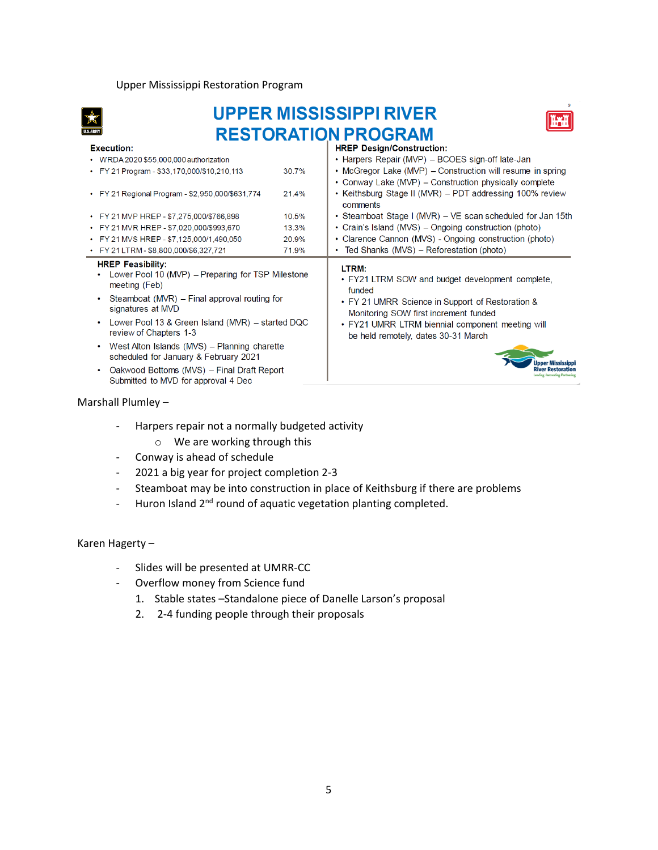#### Upper Mississippi Restoration Program



# **MISSISSIPPI RIVER RESTORATION PROGRAM**



| <b>Execution:</b>                                                                                                                                                                                                                                                                                 | <b>HREP Design/Construction:</b>                                                                                                                                                                                                                            |
|---------------------------------------------------------------------------------------------------------------------------------------------------------------------------------------------------------------------------------------------------------------------------------------------------|-------------------------------------------------------------------------------------------------------------------------------------------------------------------------------------------------------------------------------------------------------------|
| • WRDA 2020 \$55,000,000 authorization                                                                                                                                                                                                                                                            | • Harpers Repair (MVP) – BCOES sign-off late-Jan                                                                                                                                                                                                            |
| • FY 21 Program - \$33,170,000/\$10,210,113                                                                                                                                                                                                                                                       | • McGregor Lake (MVP) – Construction will resume in spring<br>30.7%<br>• Conway Lake (MVP) – Construction physically complete                                                                                                                               |
| • FY 21 Regional Program - \$2,950,000/\$631,774                                                                                                                                                                                                                                                  | • Keithsburg Stage II (MVR) – PDT addressing 100% review<br>21.4%<br>comments                                                                                                                                                                               |
| • FY 21 MVP HREP - \$7,275,000/\$766,898                                                                                                                                                                                                                                                          | • Steamboat Stage I (MVR) – VE scan scheduled for Jan 15th<br>10.5%                                                                                                                                                                                         |
| • FY 21 MVR HREP - \$7,020,000/\$993,670                                                                                                                                                                                                                                                          | • Crain's Island (MVS) – Ongoing construction (photo)<br>13.3%                                                                                                                                                                                              |
| • FY 21 MVS HREP - \$7,125,000/1,490,050                                                                                                                                                                                                                                                          | • Clarence Cannon (MVS) - Ongoing construction (photo)<br>20.9%                                                                                                                                                                                             |
| • FY 21 LTRM - \$8,800,000/\$6,327,721                                                                                                                                                                                                                                                            | • Ted Shanks (MVS) – Reforestation (photo)<br>71.9%                                                                                                                                                                                                         |
| <b>HREP Feasibility:</b><br>Lower Pool 10 (MVP) – Preparing for TSP Milestone<br>meeting (Feb)<br>Steamboat (MVR) – Final approval routing for<br>signatures at MVD<br>Lower Pool 13 & Green Island (MVR) – started DQC<br>review of Chapters 1-3<br>West Alton Islands (MVS) - Planning charette | LTRM:<br>• FY21 LTRM SOW and budget development complete,<br>funded<br>• FY 21 UMRR Science in Support of Restoration &<br>Monitoring SOW first increment funded<br>• FY21 UMRR LTRM biennial component meeting will<br>be held remotely, dates 30-31 March |
| scheduled for January & February 2021<br>Oakwood Bottoms (MVS) - Final Draft Report<br>Submitted to MVD for approval 4 Dec                                                                                                                                                                        |                                                                                                                                                                                                                                                             |

### Marshall Plumley -

- Harpers repair not a normally budgeted activity
	- o We are working through this
- Conway is ahead of schedule
- 2021 a big year for project completion 2-3
- Steamboat may be into construction in place of Keithsburg if there are problems
- Huron Island 2<sup>nd</sup> round of aquatic vegetation planting completed.

Karen Hagerty-

- Slides will be presented at UMRR-CC
- Overflow money from Science fund
	- 1. Stable states –Standalone piece of Danelle Larson's proposal
	- 2. 2-4 funding people through their proposals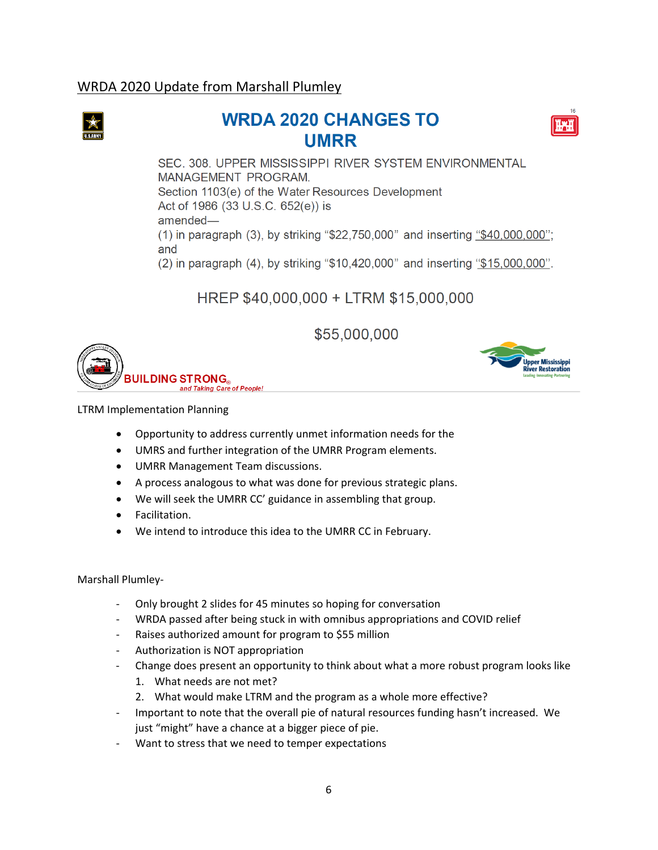## WRDA 2020 Update from Marshall Plumley



# **2020 CHANGES TO UMRR**



SEC. 308. UPPER MISSISSIPPI RIVER SYSTEM ENVIRONMENTAL **MANAGEMENT PROGRAM.**  Section 1103(e) of the Water Resources Development Act of 1986 (33 U.S.C. 652(e)) is amended-(1) in paragraph (3), by striking "\$22,750,000" and inserting "\$40,000,000"; and (2) in paragraph **(4),** by striking "\$10,420,000" and inserting "\$15,000,000".

# **HREP \$40,000,000** + **LTRM \$15,000,000**

**\$55,000,000** 



~~ <sup>~</sup>**J Upper Mississippi River Restoration**<br>Leading-Innovating-Partnering

LTRM Implementation Planning

- Opportunity to address currently unmet information needs for the
- UMRS and further integration of the UMRR Program elements.
- UMRR Management Team discussions.
- A process analogous to what was done for previous strategic plans.
- We will seek the UMRR CC' guidance in assembling that group.
- Facilitation.
- We intend to introduce this idea to the UMRR CC in February.

### Marshall Plumley-

- Only brought 2 slides for 45 minutes so hoping for conversation
- WRDA passed after being stuck in with omnibus appropriations and COVID relief
- Raises authorized amount for program to \$55 million
- Authorization is NOT appropriation
- - Change does present an opportunity to think about what a more robust program looks like
	- 1. What needs are not met?
	- 2. What would make LTRM and the program as a whole more effective?
- - Important to note that the overall pie of natural resources funding hasn't increased. We just "might" have a chance at a bigger piece of pie.
- Want to stress that we need to temper expectations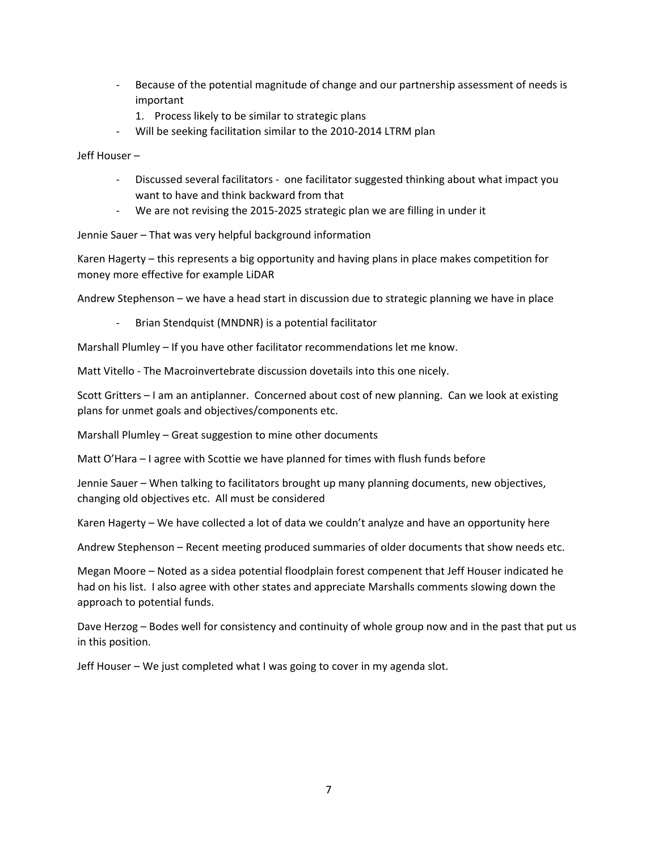- Because of the potential magnitude of change and our partnership assessment of needs is important
	- 1. Process likely to be similar to strategic plans
- Will be seeking facilitation similar to the 2010-2014 LTRM plan

Jeff Houser –

- - Discussed several facilitators one facilitator suggested thinking about what impact you want to have and think backward from that
- We are not revising the 2015-2025 strategic plan we are filling in under it

Jennie Sauer – That was very helpful background information

 Karen Hagerty – this represents a big opportunity and having plans in place makes competition for money more effective for example LiDAR

Andrew Stephenson – we have a head start in discussion due to strategic planning we have in place

- Brian Stendquist (MNDNR) is a potential facilitator

Marshall Plumley – If you have other facilitator recommendations let me know.

Matt Vitello - The Macroinvertebrate discussion dovetails into this one nicely.

 Scott Gritters – I am an antiplanner. Concerned about cost of new planning. Can we look at existing plans for unmet goals and objectives/components etc.

Marshall Plumley – Great suggestion to mine other documents

Matt O'Hara – I agree with Scottie we have planned for times with flush funds before

Jennie Sauer – When talking to facilitators brought up many planning documents, new objectives, changing old objectives etc. All must be considered

Karen Hagerty – We have collected a lot of data we couldn't analyze and have an opportunity here

Andrew Stephenson – Recent meeting produced summaries of older documents that show needs etc.

 Megan Moore – Noted as a sidea potential floodplain forest compenent that Jeff Houser indicated he approach to potential funds. had on his list. I also agree with other states and appreciate Marshalls comments slowing down the

 Dave Herzog – Bodes well for consistency and continuity of whole group now and in the past that put us in this position.

Jeff Houser – We just completed what I was going to cover in my agenda slot.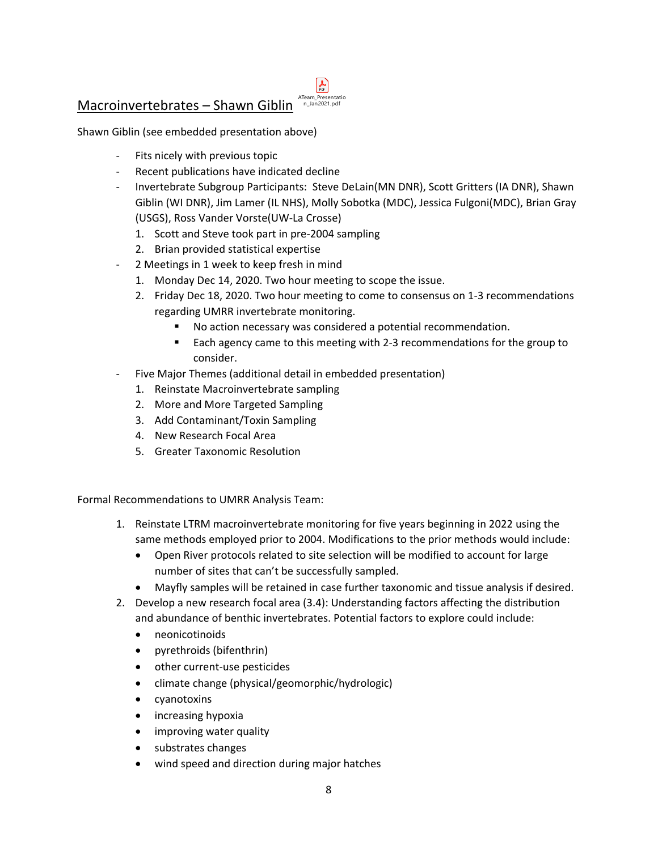- Fits nicely with previous topic
- Recent publications have indicated decline
- - Invertebrate Subgroup Participants: Steve DeLain(MN DNR), Scott Gritters (IA DNR), Shawn Giblin (WI DNR), Jim Lamer (IL NHS), Molly Sobotka (MDC), Jessica Fulgoni(MDC), Brian Gray (USGS), Ross Vander Vorste(UW-La Crosse)
	- 1. Scott and Steve took part in pre-2004 sampling
	- 2. Brian provided statistical expertise
- 2 Meetings in 1 week to keep fresh in mind
	- 1. Monday Dec 14, 2020. Two hour meeting to scope the issue.
	- 2. Friday Dec 18, 2020. Two hour meeting to come to consensus on 1-3 recommendations regarding UMRR invertebrate monitoring.
		- No action necessary was considered a potential recommendation.
		- **Each agency came to this meeting with 2-3 recommendations for the group to** consider.
- Five Major Themes (additional detail in embedded presentation)
	- 1. Reinstate Macroinvertebrate sampling
	- 2. More and More Targeted Sampling
	- 3. Add Contaminant/Toxin Sampling
	- 4. New Research Focal Area
	- 5. Greater Taxonomic Resolution

Formal Recommendations to UMRR Analysis Team:

- 1. Reinstate LTRM macroinvertebrate monitoring for five years beginning in 2022 using the same methods employed prior to 2004. Modifications to the prior methods would include:
	- Open River protocols related to site selection will be modified to account for large number of sites that can't be successfully sampled.
	- Mayfly samples will be retained in case further taxonomic and tissue analysis if desired.
- and abundance of benthic invertebrates. Potential factors to explore could include: 2. Develop a new research focal area (3.4): Understanding factors affecting the distribution
	- neonicotinoids
	- pyrethroids (bifenthrin)
	- other current-use pesticides
	- climate change (physical/geomorphic/hydrologic)
	- cyanotoxins
	- increasing hypoxia
	- improving water quality
	- substrates changes
	- wind speed and direction during major hatches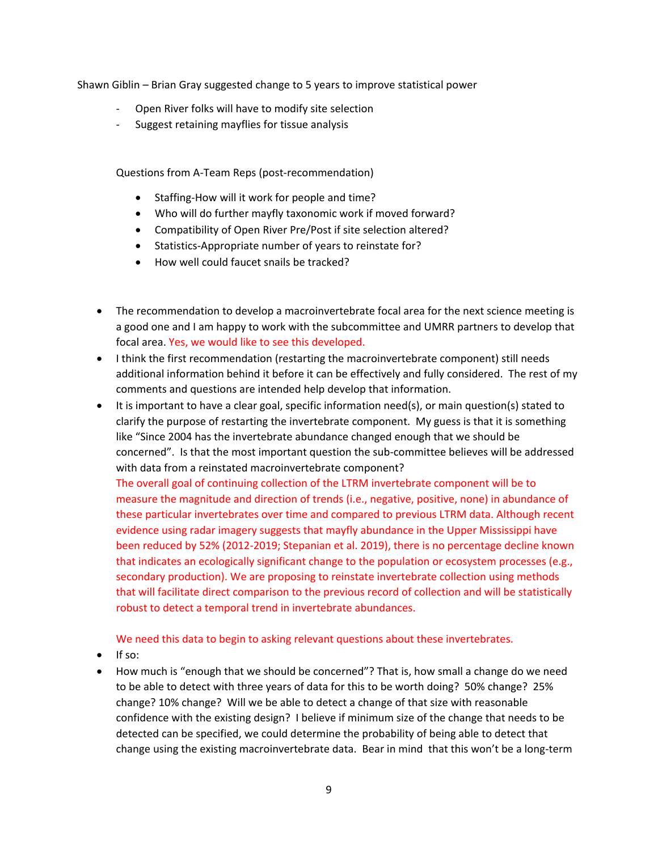Shawn Giblin – Brian Gray suggested change to 5 years to improve statistical power

- Open River folks will have to modify site selection
- Suggest retaining mayflies for tissue analysis

Questions from A-Team Reps (post-recommendation)

- Staffing-How will it work for people and time?
- Who will do further mayfly taxonomic work if moved forward?
- Compatibility of Open River Pre/Post if site selection altered?
- Statistics-Appropriate number of years to reinstate for?
- How well could faucet snails be tracked?
- a good one and I am happy to work with the subcommittee and UMRR partners to develop that focal area. Yes, we would like to see this developed. • The recommendation to develop a macroinvertebrate focal area for the next science meeting is
- additional information behind it before it can be effectively and fully considered. The rest of my • I think the first recommendation (restarting the macroinvertebrate component) still needs comments and questions are intended help develop that information.
- • It is important to have a clear goal, specific information need(s), or main question(s) stated to clarify the purpose of restarting the invertebrate component. My guess is that it is something like "Since 2004 has the invertebrate abundance changed enough that we should be concerned". Is that the most important question the sub-committee believes will be addressed with data from a reinstated macroinvertebrate component?

 these particular invertebrates over time and compared to previous LTRM data. Although recent that indicates an ecologically significant change to the population or ecosystem processes (e.g., that will facilitate direct comparison to the previous record of collection and will be statistically The overall goal of continuing collection of the LTRM invertebrate component will be to measure the magnitude and direction of trends (i.e., negative, positive, none) in abundance of evidence using radar imagery suggests that mayfly abundance in the Upper Mississippi have been reduced by 52% (2012-2019; Stepanian et al. 2019), there is no percentage decline known secondary production). We are proposing to reinstate invertebrate collection using methods robust to detect a temporal trend in invertebrate abundances.

We need this data to begin to asking relevant questions about these invertebrates.

- If so:
- • How much is "enough that we should be concerned"? That is, how small a change do we need to be able to detect with three years of data for this to be worth doing? 50% change? 25% confidence with the existing design? I believe if minimum size of the change that needs to be detected can be specified, we could determine the probability of being able to detect that change using the existing macroinvertebrate data. Bear in mind that this won't be a long-term change? 10% change? Will we be able to detect a change of that size with reasonable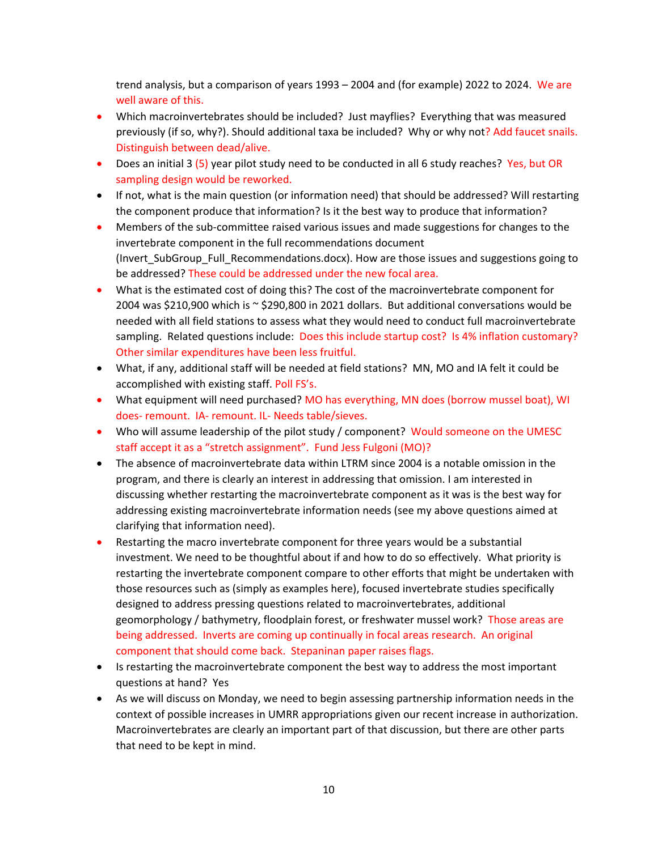trend analysis, but a comparison of years 1993 – 2004 and (for example) 2022 to 2024. We are well aware of this.

- • Which macroinvertebrates should be included? Just mayflies? Everything that was measured previously (if so, why?). Should additional taxa be included? Why or why not? Add faucet snails. Distinguish between dead/alive.
- Does an initial 3 (5) year pilot study need to be conducted in all 6 study reaches? Yes, but OR sampling design would be reworked.
- If not, what is the main question (or information need) that should be addressed? Will restarting the component produce that information? Is it the best way to produce that information?
- • Members of the sub-committee raised various issues and made suggestions for changes to the invertebrate component in the full recommendations document (Invert\_SubGroup\_Full\_Recommendations.docx). How are those issues and suggestions going to be addressed? These could be addressed under the new focal area.
- sampling. Related questions include: Does this include startup cost? Is 4% inflation customary? • What is the estimated cost of doing this? The cost of the macroinvertebrate component for 2004 was \$210,900 which is ~ \$290,800 in 2021 dollars. But additional conversations would be needed with all field stations to assess what they would need to conduct full macroinvertebrate Other similar expenditures have been less fruitful.
- • What, if any, additional staff will be needed at field stations? MN, MO and IA felt it could be accomplished with existing staff. Poll FS's.
- What equipment will need purchased? MO has everything, MN does (borrow mussel boat), WI does- remount. IA- remount. IL- Needs table/sieves.
- • Who will assume leadership of the pilot study / component? Would someone on the UMESC staff accept it as a "stretch assignment". Fund Jess Fulgoni (MO)?
- • The absence of macroinvertebrate data within LTRM since 2004 is a notable omission in the program, and there is clearly an interest in addressing that omission. I am interested in discussing whether restarting the macroinvertebrate component as it was is the best way for addressing existing macroinvertebrate information needs (see my above questions aimed at clarifying that information need).
- • Restarting the macro invertebrate component for three years would be a substantial investment. We need to be thoughtful about if and how to do so effectively. What priority is restarting the invertebrate component compare to other efforts that might be undertaken with those resources such as (simply as examples here), focused invertebrate studies specifically designed to address pressing questions related to macroinvertebrates, additional geomorphology / bathymetry, floodplain forest, or freshwater mussel work? Those areas are being addressed. Inverts are coming up continually in focal areas research. An original component that should come back. Stepaninan paper raises flags.
- questions at hand? Yes • Is restarting the macroinvertebrate component the best way to address the most important
- Macroinvertebrates are clearly an important part of that discussion, but there are other parts that need to be kept in mind. • As we will discuss on Monday, we need to begin assessing partnership information needs in the context of possible increases in UMRR appropriations given our recent increase in authorization.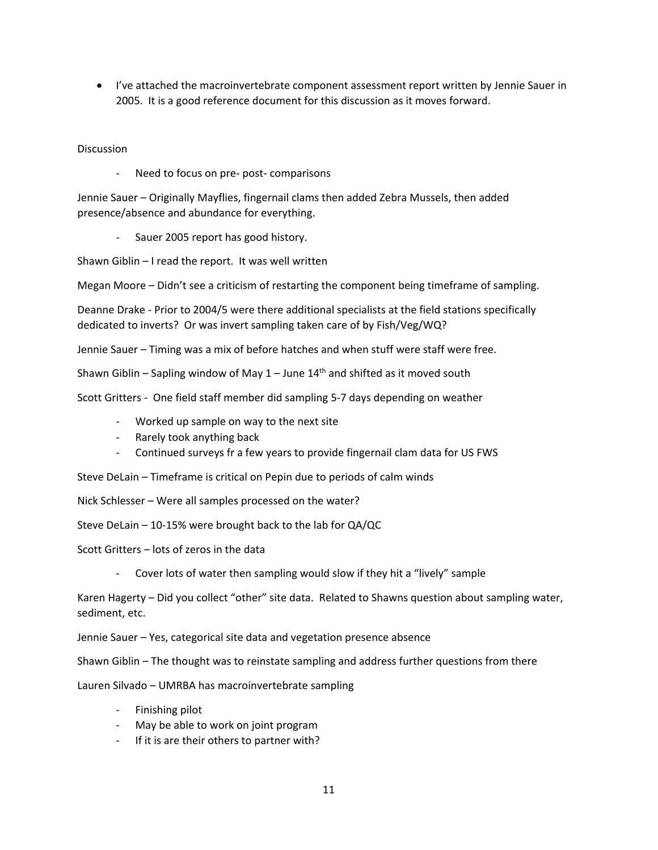• I've attached the macroinvertebrate component assessment report written by Jennie Sauer in 2005. It is a good reference document for this discussion as it moves forward.

**Discussion** 

- Need to focus on pre- post- comparisons

Jennie Sauer – Originally Mayflies, fingernail clams then added Zebra Mussels, then added presence/absence and abundance for everything.

Sauer 2005 report has good history.

Shawn Giblin – I read the report. It was well written

Megan Moore – Didn't see a criticism of restarting the component being timeframe of sampling.

 dedicated to inverts? Or was invert sampling taken care of by Fish/Veg/WQ? Deanne Drake - Prior to 2004/5 were there additional specialists at the field stations specifically

Jennie Sauer – Timing was a mix of before hatches and when stuff were staff were free.

Shawn Giblin – Sapling window of May  $1$  – June  $14<sup>th</sup>$  and shifted as it moved south

Scott Gritters - One field staff member did sampling 5-7 days depending on weather

- Worked up sample on way to the next site
- Rarely took anything back
- Continued surveys fr a few years to provide fingernail clam data for US FWS

Steve DeLain – Timeframe is critical on Pepin due to periods of calm winds

Nick Schlesser – Were all samples processed on the water?

Steve DeLain – 10-15% were brought back to the lab for QA/QC

Scott Gritters – lots of zeros in the data

- Cover lots of water then sampling would slow if they hit a "lively" sample

Karen Hagerty – Did you collect "other" site data. Related to Shawns question about sampling water, sediment, etc.

Jennie Sauer – Yes, categorical site data and vegetation presence absence

Shawn Giblin – The thought was to reinstate sampling and address further questions from there

Lauren Silvado – UMRBA has macroinvertebrate sampling

- Finishing pilot
- May be able to work on joint program
- If it is are their others to partner with?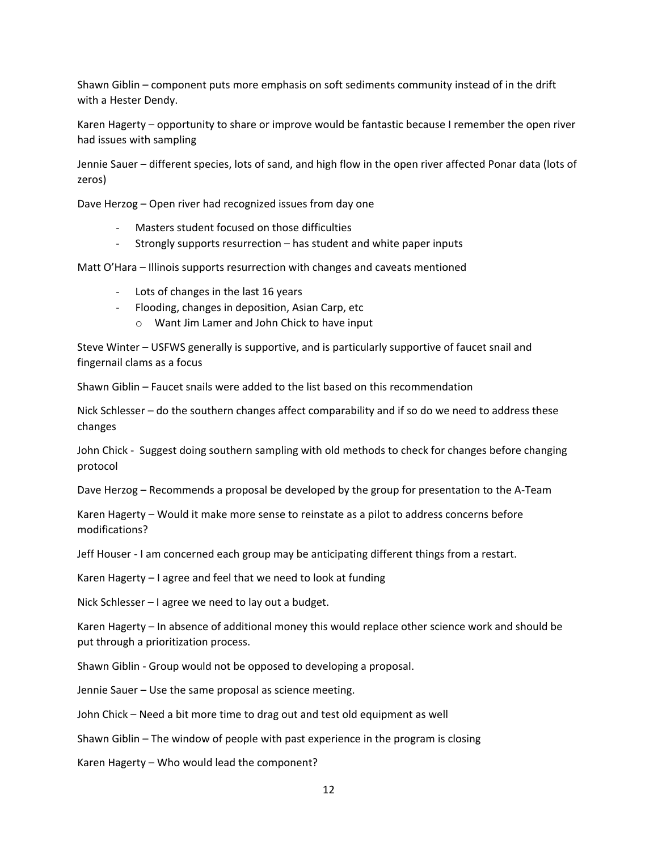Shawn Giblin – component puts more emphasis on soft sediments community instead of in the drift with a Hester Dendy.

 Karen Hagerty – opportunity to share or improve would be fantastic because I remember the open river had issues with sampling

 Jennie Sauer – different species, lots of sand, and high flow in the open river affected Ponar data (lots of zeros)

Dave Herzog – Open river had recognized issues from day one

- Masters student focused on those difficulties
- Strongly supports resurrection has student and white paper inputs

Matt O'Hara – Illinois supports resurrection with changes and caveats mentioned

- Lots of changes in the last 16 years
- Flooding, changes in deposition, Asian Carp, etc
	- o Want Jim Lamer and John Chick to have input

Steve Winter – USFWS generally is supportive, and is particularly supportive of faucet snail and fingernail clams as a focus

Shawn Giblin – Faucet snails were added to the list based on this recommendation

Nick Schlesser – do the southern changes affect comparability and if so do we need to address these changes

 John Chick - Suggest doing southern sampling with old methods to check for changes before changing protocol

Dave Herzog – Recommends a proposal be developed by the group for presentation to the A-Team

 Karen Hagerty – Would it make more sense to reinstate as a pilot to address concerns before modifications?

Jeff Houser - I am concerned each group may be anticipating different things from a restart.

Karen Hagerty – I agree and feel that we need to look at funding

Nick Schlesser – I agree we need to lay out a budget.

Karen Hagerty – In absence of additional money this would replace other science work and should be put through a prioritization process.

Shawn Giblin - Group would not be opposed to developing a proposal.

Jennie Sauer – Use the same proposal as science meeting.

John Chick – Need a bit more time to drag out and test old equipment as well

Shawn Giblin – The window of people with past experience in the program is closing

Karen Hagerty – Who would lead the component?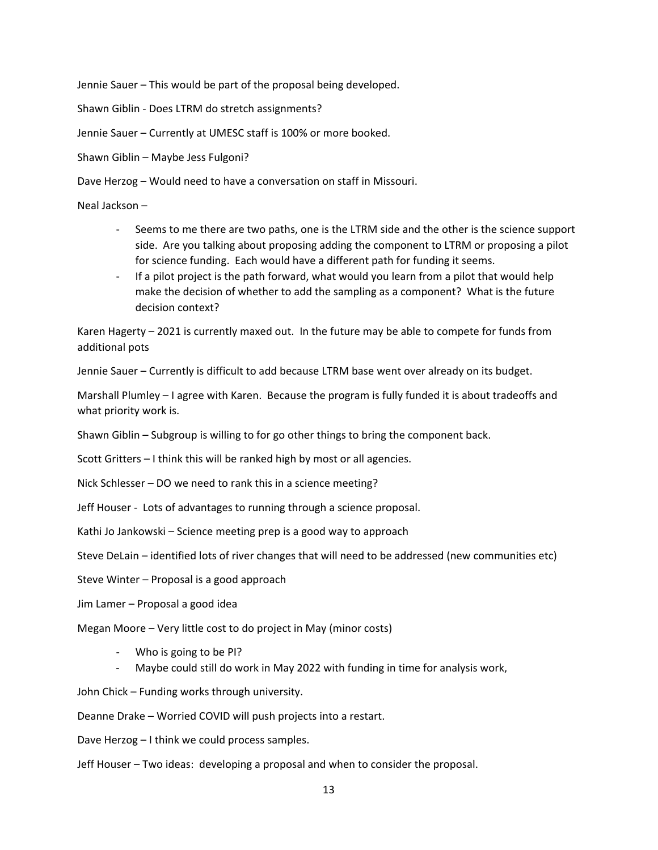Jennie Sauer – This would be part of the proposal being developed.

Shawn Giblin - Does LTRM do stretch assignments?

Jennie Sauer – Currently at UMESC staff is 100% or more booked.

Shawn Giblin – Maybe Jess Fulgoni?

Dave Herzog – Would need to have a conversation on staff in Missouri.

Neal Jackson -

- Neal Jackson –<br>- Seems to me there are two paths, one is the LTRM side and the other is the science support side. Are you talking about proposing adding the component to LTRM or proposing a pilot for science funding. Each would have a different path for funding it seems.
	- If a pilot project is the path forward, what would you learn from a pilot that would help make the decision of whether to add the sampling as a component? What is the future decision context?

 Karen Hagerty – 2021 is currently maxed out. In the future may be able to compete for funds from additional pots

Jennie Sauer – Currently is difficult to add because LTRM base went over already on its budget.

Marshall Plumley – I agree with Karen. Because the program is fully funded it is about tradeoffs and what priority work is.

Shawn Giblin – Subgroup is willing to for go other things to bring the component back.

Scott Gritters – I think this will be ranked high by most or all agencies.

Nick Schlesser – DO we need to rank this in a science meeting?

Jeff Houser - Lots of advantages to running through a science proposal.

Kathi Jo Jankowski – Science meeting prep is a good way to approach

Steve DeLain – identified lots of river changes that will need to be addressed (new communities etc)

Steve Winter – Proposal is a good approach

Jim Lamer – Proposal a good idea

Megan Moore – Very little cost to do project in May (minor costs)

- Who is going to be PI?
- Maybe could still do work in May 2022 with funding in time for analysis work,

John Chick – Funding works through university.

Deanne Drake – Worried COVID will push projects into a restart.

Dave Herzog – I think we could process samples.

Jeff Houser – Two ideas: developing a proposal and when to consider the proposal.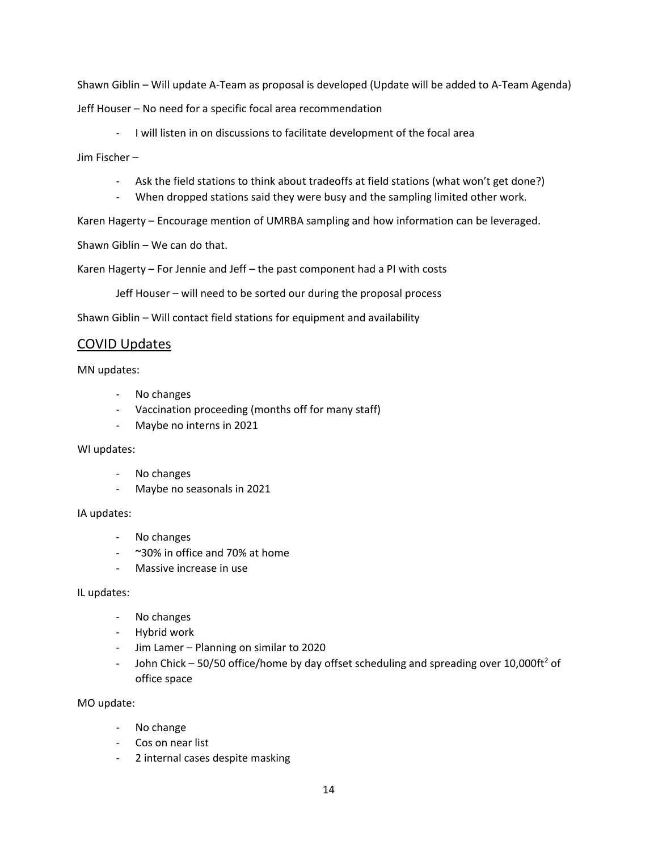Shawn Giblin – Will update A-Team as proposal is developed (Update will be added to A-Team Agenda) Jeff Houser – No need for a specific focal area recommendation

- I will listen in on discussions to facilitate development of the focal area

Jim Fischer –

- Ask the field stations to think about tradeoffs at field stations (what won't get done?)
- When dropped stations said they were busy and the sampling limited other work.

Karen Hagerty – Encourage mention of UMRBA sampling and how information can be leveraged.

Shawn Giblin – We can do that.

Karen Hagerty – For Jennie and Jeff – the past component had a PI with costs

Jeff Houser – will need to be sorted our during the proposal process

Shawn Giblin – Will contact field stations for equipment and availability

### COVID Updates

MN updates:

- No changes
- Vaccination proceeding (months off for many staff)
- Maybe no interns in 2021

### WI updates:

- No changes
- Maybe no seasonals in 2021

### IA updates:

- No changes
- ~30% in office and 70% at home
- Massive increase in use

### IL updates:

- No changes
- Hybrid work
- Jim Lamer Planning on similar to 2020
- John Chick 50/50 office/home by day offset scheduling and spreading over 10,000ft<sup>2</sup> of office space

MO update:

- No change
- Cos on near list
- 2 internal cases despite masking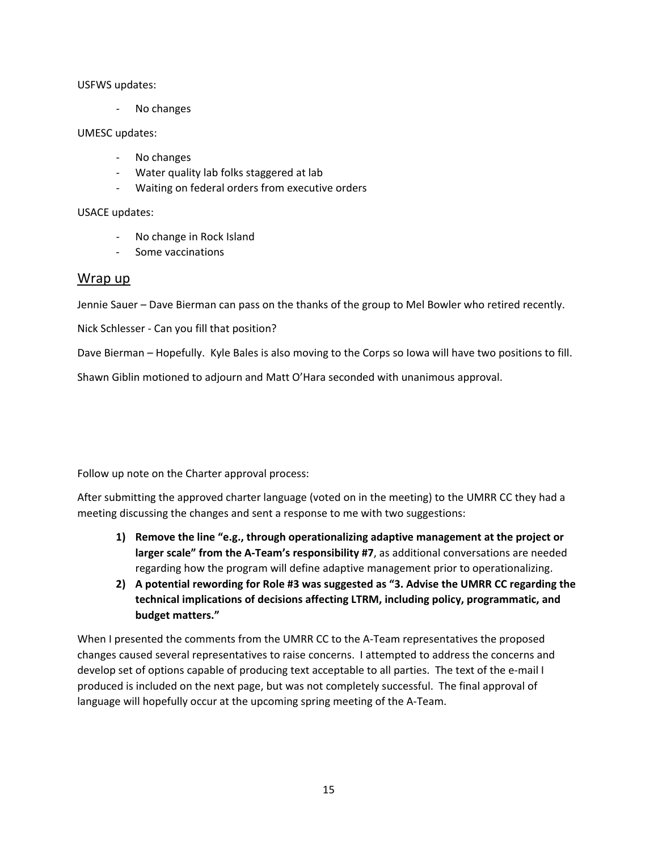### USFWS updates:

- No changes

### UMESC updates:

- No changes
- Water quality lab folks staggered at lab
- Waiting on federal orders from executive orders

### USACE updates:

- No change in Rock Island
- Some vaccinations

### Wrap up

Jennie Sauer – Dave Bierman can pass on the thanks of the group to Mel Bowler who retired recently.

Nick Schlesser - Can you fill that position?

Dave Bierman – Hopefully. Kyle Bales is also moving to the Corps so Iowa will have two positions to fill.

Shawn Giblin motioned to adjourn and Matt O'Hara seconded with unanimous approval.

Follow up note on the Charter approval process:

 After submitting the approved charter language (voted on in the meeting) to the UMRR CC they had a meeting discussing the changes and sent a response to me with two suggestions:

- **1) Remove the line "e.g., through operationalizing adaptive management at the project or larger scale" from the A-Team's responsibility #7**, as additional conversations are needed regarding how the program will define adaptive management prior to operationalizing.
- **2) A potential rewording for Role #3 was suggested as "3. Advise the UMRR CC regarding the technical implications of decisions affecting LTRM, including policy, programmatic, and budget matters."**

 produced is included on the next page, but was not completely successful. The final approval of When I presented the comments from the UMRR CC to the A-Team representatives the proposed changes caused several representatives to raise concerns. I attempted to address the concerns and develop set of options capable of producing text acceptable to all parties. The text of the e-mail I language will hopefully occur at the upcoming spring meeting of the A-Team.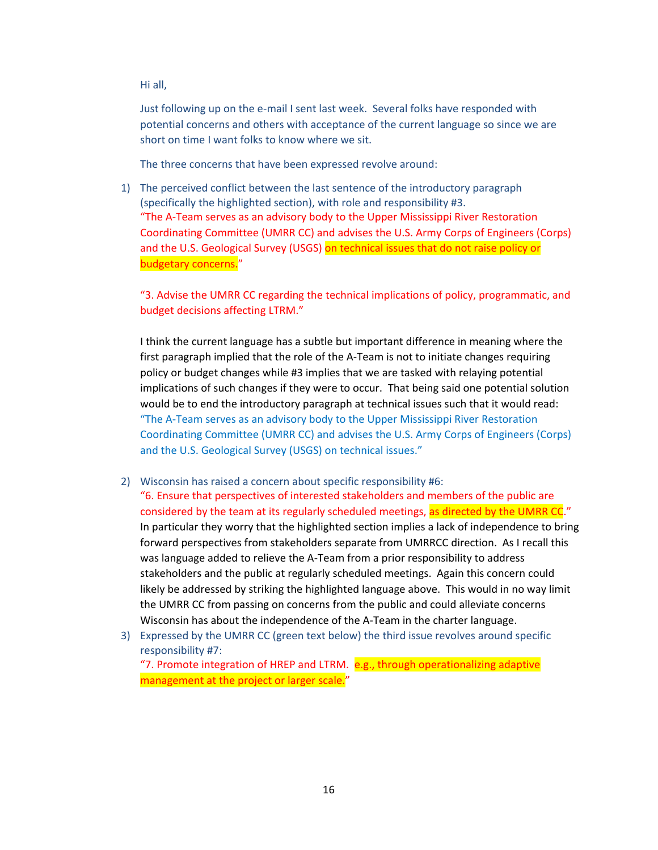Hi all,

 Just following up on the e-mail I sent last week. Several folks have responded with potential concerns and others with acceptance of the current language so since we are short on time I want folks to know where we sit.

The three concerns that have been expressed revolve around:

 "The A-Team serves as an advisory body to the Upper Mississippi River Restoration 1) The perceived conflict between the last sentence of the introductory paragraph (specifically the highlighted section), with role and responsibility #3. Coordinating Committee (UMRR CC) and advises the U.S. Army Corps of Engineers (Corps) and the U.S. Geological Survey (USGS) on technical issues that do not raise policy or budgetary concerns."

"3. Advise the UMRR CC regarding the technical implications of policy, programmatic, and budget decisions affecting LTRM."

 I think the current language has a subtle but important difference in meaning where the policy or budget changes while #3 implies that we are tasked with relaying potential implications of such changes if they were to occur. That being said one potential solution would be to end the introductory paragraph at technical issues such that it would read: "The A-Team serves as an advisory body to the Upper Mississippi River Restoration and the U.S. Geological Survey (USGS) on technical issues." first paragraph implied that the role of the A-Team is not to initiate changes requiring Coordinating Committee (UMRR CC) and advises the U.S. Army Corps of Engineers (Corps)

- forward perspectives from stakeholders separate from UMRRCC direction. As I recall this stakeholders and the public at regularly scheduled meetings. Again this concern could likely be addressed by striking the highlighted language above. This would in no way limit the UMRR CC from passing on concerns from the public and could alleviate concerns 2) Wisconsin has raised a concern about specific responsibility #6: "6. Ensure that perspectives of interested stakeholders and members of the public are considered by the team at its regularly scheduled meetings, as directed by the UMRR CC." In particular they worry that the highlighted section implies a lack of independence to bring was language added to relieve the A-Team from a prior responsibility to address Wisconsin has about the independence of the A-Team in the charter language.
- 3) Expressed by the UMRR CC (green text below) the third issue revolves around specific "7. Promote integration of HREP and LTRM. e.g., through operationalizing adaptive management at the project or larger scale." responsibility #7: